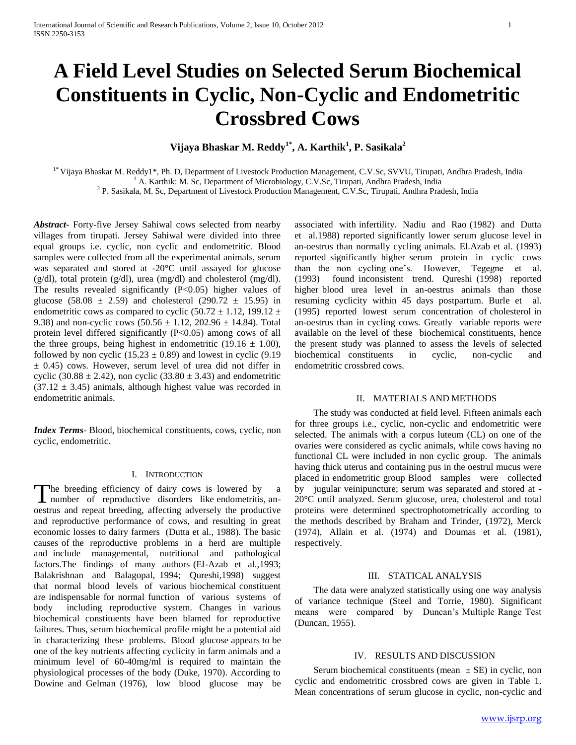# **A Field Level Studies on Selected Serum Biochemical Constituents in Cyclic, Non-Cyclic and Endometritic Crossbred Cows**

**Vijaya Bhaskar M. Reddy1\*, A. Karthik<sup>1</sup> , P. Sasikala<sup>2</sup>**

1\* Vijaya Bhaskar M. Reddy1\*, Ph. D, Department of Livestock Production Management, C.V.Sc, SVVU, Tirupati, Andhra Pradesh, India  $<sup>1</sup>$  A. Karthik: M. Sc, Department of Microbiology, C.V.Sc, Tirupati, Andhra Pradesh, India</sup>

<sup>2</sup> P. Sasikala, M. Sc, Department of Livestock Production Management, C.V.Sc, Tirupati, Andhra Pradesh, India

*Abstract***-** Forty-five Jersey Sahiwal cows selected from nearby villages from tirupati. Jersey Sahiwal were divided into three equal groups i.e. cyclic, non cyclic and endometritic. Blood samples were collected from all the experimental animals, serum was separated and stored at -20°C until assayed for glucose (g/dl), total protein (g/dl), urea (mg/dl) and cholesterol (mg/dl). The results revealed significantly (P<0.05) higher values of glucose (58.08  $\pm$  2.59) and cholesterol (290.72  $\pm$  15.95) in endometritic cows as compared to cyclic (50.72  $\pm$  1.12, 199.12  $\pm$ 9.38) and non-cyclic cows  $(50.56 \pm 1.12, 202.96 \pm 14.84)$ . Total protein level differed significantly (P<0.05) among cows of all the three groups, being highest in endometritic (19.16  $\pm$  1.00), followed by non cyclic  $(15.23 \pm 0.89)$  and lowest in cyclic  $(9.19$  $\pm$  0.45) cows. However, serum level of urea did not differ in cyclic (30.88  $\pm$  2.42), non cyclic (33.80  $\pm$  3.43) and endometritic  $(37.12 \pm 3.45)$  animals, although highest value was recorded in endometritic animals.

*Index Terms*- Blood, biochemical constituents, cows, cyclic, non cyclic, endometritic.

#### I. INTRODUCTION

The breeding efficiency of dairy cows is lowered by a The breeding efficiency of dairy cows is lowered by<br>number of reproductive disorders like endometritis, anoestrus and repeat breeding, affecting adversely the productive and reproductive performance of cows, and resulting in great economic losses to dairy farmers (Dutta et al., 1988). The basic causes of the reproductive problems in a herd are multiple and include managemental, nutritional and pathological factors.The findings of many authors (El-Azab et al.,1993; Balakrishnan and Balagopal, 1994; Qureshi,1998) suggest that normal blood levels of various biochemical constituent are indispensable for normal function of various systems of body including reproductive system. Changes in various biochemical constituents have been blamed for reproductive failures. Thus, serum biochemical profile might be a potential aid in characterizing these problems. Blood glucose appears to be one of the key nutrients affecting cyclicity in farm animals and a minimum level of 60-40mg/ml is required to maintain the physiological processes of the body (Duke, 1970). According to Dowine and Gelman (1976), low blood glucose may be associated with infertility. Nadiu and Rao (1982) and Dutta et al.1988) reported significantly lower serum glucose level in an-oestrus than normally cycling animals. El.Azab et al. (1993) reported significantly higher serum protein in cyclic cows than the non cycling one's. However, Tegegne et al. (1993) found inconsistent trend. Qureshi (1998) reported higher blood urea level in an-oestrus animals than those resuming cyclicity within 45 days postpartum. Burle et al. (1995) reported lowest serum concentration of cholesterol in an-oestrus than in cycling cows. Greatly variable reports were available on the level of these biochemical constituents, hence the present study was planned to assess the levels of selected biochemical constituents in cyclic, non-cyclic and endometritic crossbred cows.

# II. MATERIALS AND METHODS

 The study was conducted at field level. Fifteen animals each for three groups i.e., cyclic, non-cyclic and endometritic were selected. The animals with a corpus luteum (CL) on one of the ovaries were considered as cyclic animals, while cows having no functional CL were included in non cyclic group. The animals having thick uterus and containing pus in the oestrul mucus were placed in endometritic group Blood samples were collected by jugular veinipuncture; serum was separated and stored at - 20°C until analyzed. Serum glucose, urea, cholesterol and total proteins were determined spectrophotometrically according to the methods described by Braham and Trinder, (1972), Merck (1974), Allain et al. (1974) and Doumas et al. (1981), respectively.

#### III. STATICAL ANALYSIS

 The data were analyzed statistically using one way analysis of variance technique (Steel and Torrie, 1980). Significant means were compared by Duncan's Multiple Range Test (Duncan, 1955).

### IV. RESULTS AND DISCUSSION

Serum biochemical constituents (mean  $\pm$  SE) in cyclic, non cyclic and endometritic crossbred cows are given in Table 1. Mean concentrations of serum glucose in cyclic, non-cyclic and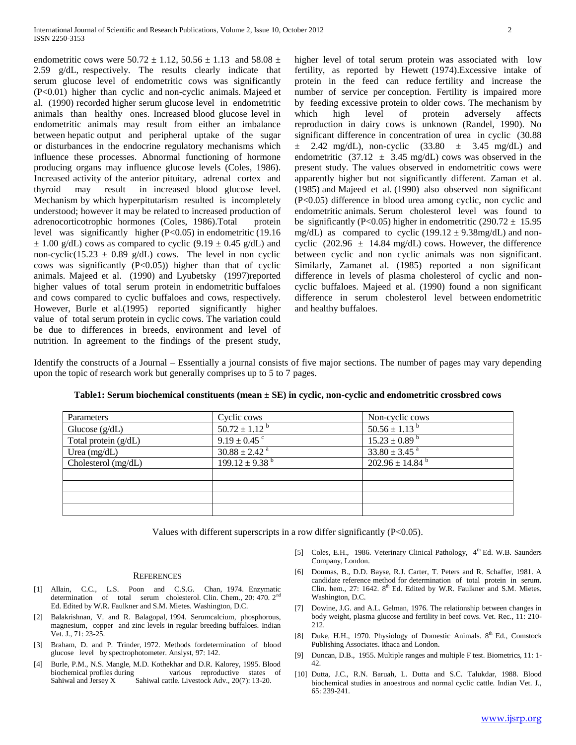endometritic cows were  $50.72 \pm 1.12$ ,  $50.56 \pm 1.13$  and  $58.08 \pm 1.13$ 2.59 g/dL, respectively. The results clearly indicate that serum glucose level of endometritic cows was significantly (P<0.01) higher than cyclic and non-cyclic animals. Majeed et al. (1990) recorded higher serum glucose level in endometritic animals than healthy ones. Increased blood glucose level in endometritic animals may result from either an imbalance between hepatic output and peripheral uptake of the sugar or disturbances in the endocrine regulatory mechanisms which influence these processes. Abnormal functioning of hormone producing organs may influence glucose levels (Coles, 1986). Increased activity of the anterior pituitary, adrenal cortex and thyroid may result in increased blood glucose level. Mechanism by which hyperpitutarism resulted is incompletely understood; however it may be related to increased production of adrenocorticotrophic hormones (Coles, 1986).Total protein level was significantly higher (P<0.05) in endometritic (19.16  $\pm$  1.00 g/dL) cows as compared to cyclic (9.19  $\pm$  0.45 g/dL) and non-cyclic(15.23  $\pm$  0.89 g/dL) cows. The level in non cyclic cows was significantly  $(P<0.05)$  higher than that of cyclic animals. Majeed et al. (1990) and Lyubetsky (1997)reported higher values of total serum protein in endometritic buffaloes and cows compared to cyclic buffaloes and cows, respectively. However, Burle et al.(1995) reported significantly higher value of total serum protein in cyclic cows. The variation could be due to differences in breeds, environment and level of nutrition. In agreement to the findings of the present study,

higher level of total serum protein was associated with low fertility, as reported by Hewett (1974).Excessive intake of protein in the feed can reduce fertility and increase the number of service per conception. Fertility is impaired more by feeding excessive protein to older cows. The mechanism by which high level of protein adversely affects reproduction in dairy cows is unknown (Randel, 1990). No significant difference in concentration of urea in cyclic (30.88  $\pm$  2.42 mg/dL), non-cyclic (33.80  $\pm$  3.45 mg/dL) and endometritic  $(37.12 \pm 3.45 \text{ mg/dL})$  cows was observed in the present study. The values observed in endometritic cows were apparently higher but not significantly different. Zaman et al. (1985) and Majeed et al. (1990) also observed non significant (P<0.05) difference in blood urea among cyclic, non cyclic and endometritic animals. Serum cholesterol level was found to be significantly (P<0.05) higher in endometritic (290.72  $\pm$  15.95 mg/dL) as compared to cyclic  $(199.12 \pm 9.38 \text{mg/dL})$  and noncyclic  $(202.96 \pm 14.84 \text{ mg/dL})$  cows. However, the difference between cyclic and non cyclic animals was non significant. Similarly, Zamanet al. (1985) reported a non significant difference in levels of plasma cholesterol of cyclic and noncyclic buffaloes. Majeed et al. (1990) found a non significant difference in serum cholesterol level between endometritic and healthy buffaloes.

Identify the constructs of a Journal – Essentially a journal consists of five major sections. The number of pages may vary depending upon the topic of research work but generally comprises up to 5 to 7 pages.

| Parameters            | Cyclic cows                   | Non-cyclic cows                   |
|-----------------------|-------------------------------|-----------------------------------|
|                       | $50.72 \pm 1.12^{b}$          | $50.56 \pm 1.13^{b}$              |
| Glucose $(g/dL)$      |                               |                                   |
| Total protein (g/dL)  | $9.19 \pm 0.45$ °             | $15.23 \pm 0.89$ <sup>b</sup>     |
| Urea $(mg/dL)$        | $30.88 \pm 2.42$ <sup>a</sup> | $33.80 \pm 3.45$ <sup>a</sup>     |
| Cholesterol $(mg/dL)$ | $199.12 \pm 9.38^{\text{b}}$  | $202.96 \pm 14.84^{\overline{6}}$ |
|                       |                               |                                   |
|                       |                               |                                   |
|                       |                               |                                   |
|                       |                               |                                   |

# **Table1: Serum biochemical constituents (mean ± SE) in cyclic, non-cyclic and endometritic crossbred cows**

Values with different superscripts in a row differ significantly (P<0.05).

#### **REFERENCES**

- [1] Allain, C.C., L.S. Poon and C.S.G. Chan, 1974. Enzymatic determination of total serum cholesterol. Clin. Chem., 20: 470. 2<sup>nd</sup> Ed. Edited by W.R. Faulkner and S.M. Mietes. Washington, D.C.
- [2] Balakrishnan, V. and R. Balagopal, 1994. Serumcalcium, phosphorous, magnesium, copper and zinc levels in regular breeding buffaloes. Indian Vet. J., 71: 23-25.
- [3] Braham, D. and P. Trinder, 1972. Methods fordetermination of blood glucose level by spectrophotometer. Anslyst, 97: 142.
- [4] Burle, P.M., N.S. Mangle, M.D. Kothekhar and D.R. Kalorey, 1995. Blood biochemical profiles during various reproductive states of Sahiwal and Jersey X Sahiwal cattle. Livestock Adv., 20(7): 13-20.
- [5] Coles, E.H., 1986. Veterinary Clinical Pathology, 4<sup>th</sup> Ed. W.B. Saunders Company, London.
- [6] Doumas, B., D.D. Bayse, R.J. Carter, T. Peters and R. Schaffer, 1981. A candidate reference method for determination of total protein in serum. Clin. hem., 27: 1642. 8<sup>th</sup> Ed. Edited by W.R. Faulkner and S.M. Mietes. Washington, D.C.
- [7] Dowine, J.G. and A.L. Gelman, 1976. The relationship between changes in body weight, plasma glucose and fertility in beef cows. Vet. Rec., 11: 210- 212.
- [8] Duke, H.H., 1970. Physiology of Domestic Animals.  $8<sup>th</sup>$  Ed., Comstock Publishing Associates. Ithaca and London.
- [9] Duncan, D.B., 1955. Multiple ranges and multiple F test. Biometrics, 11: 1- 42.
- [10] Dutta, J.C., R.N. Baruah, L. Dutta and S.C. Talukdar, 1988. Blood biochemical studies in anoestrous and normal cyclic cattle. Indian Vet. J.,  $65.239 - 241$